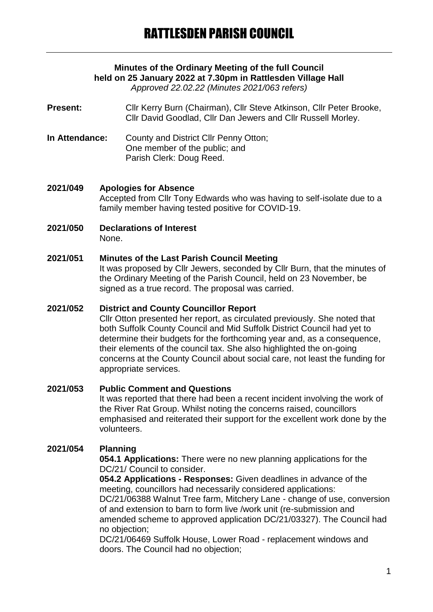# **Minutes of the Ordinary Meeting of the full Council held on 25 January 2022 at 7.30pm in Rattlesden Village Hall**

*Approved 22.02.22 (Minutes 2021/063 refers)*

**Present:** Cllr Kerry Burn (Chairman), Cllr Steve Atkinson, Cllr Peter Brooke, Cllr David Goodlad, Cllr Dan Jewers and Cllr Russell Morley.

- **In Attendance:** County and District Cllr Penny Otton; One member of the public; and Parish Clerk: Doug Reed.
- **2021/049 Apologies for Absence** Accepted from Cllr Tony Edwards who was having to self-isolate due to a family member having tested positive for COVID-19.
- **2021/050 Declarations of Interest** None.

#### **2021/051 Minutes of the Last Parish Council Meeting**

It was proposed by Cllr Jewers, seconded by Cllr Burn, that the minutes of the Ordinary Meeting of the Parish Council, held on 23 November, be signed as a true record. The proposal was carried.

### **2021/052 District and County Councillor Report**

Cllr Otton presented her report, as circulated previously. She noted that both Suffolk County Council and Mid Suffolk District Council had yet to determine their budgets for the forthcoming year and, as a consequence, their elements of the council tax. She also highlighted the on-going concerns at the County Council about social care, not least the funding for appropriate services.

# **2021/053 Public Comment and Questions**

It was reported that there had been a recent incident involving the work of the River Rat Group. Whilst noting the concerns raised, councillors emphasised and reiterated their support for the excellent work done by the volunteers.

# **2021/054 Planning**

**054.1 Applications:** There were no new planning applications for the DC/21/ Council to consider.

**054.2 Applications - Responses:** Given deadlines in advance of the meeting, councillors had necessarily considered applications: DC/21/06388 Walnut Tree farm, Mitchery Lane - change of use, conversion of and extension to barn to form live /work unit (re-submission and amended scheme to approved application DC/21/03327). The Council had no objection;

DC/21/06469 Suffolk House, Lower Road - replacement windows and doors. The Council had no objection;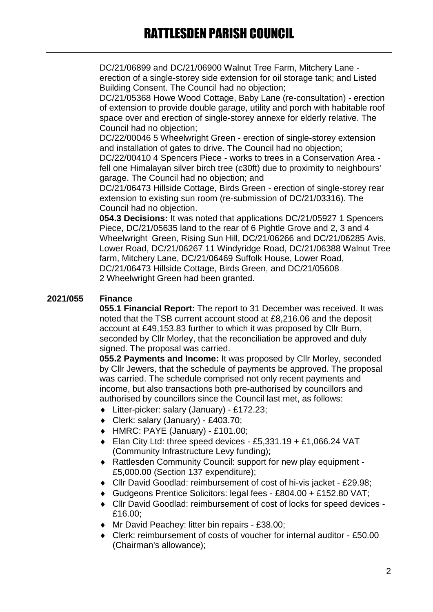DC/21/06899 and DC/21/06900 Walnut Tree Farm, Mitchery Lane erection of a single-storey side extension for oil storage tank; and Listed Building Consent. The Council had no objection;

DC/21/05368 Howe Wood Cottage, Baby Lane (re-consultation) - erection of extension to provide double garage, utility and porch with habitable roof space over and erection of single-storey annexe for elderly relative. The Council had no objection;

DC/22/00046 5 Wheelwright Green - erection of single-storey extension and installation of gates to drive. The Council had no objection;

DC/22/00410 4 Spencers Piece - works to trees in a Conservation Area fell one Himalayan silver birch tree (c30ft) due to proximity to neighbours' garage. The Council had no objection; and

DC/21/06473 Hillside Cottage, Birds Green - erection of single-storey rear extension to existing sun room (re-submission of DC/21/03316). The Council had no objection.

**054.3 Decisions:** It was noted that applications DC/21/05927 1 Spencers Piece, DC/21/05635 land to the rear of 6 Pightle Grove and 2, 3 and 4 Wheelwright Green, Rising Sun Hill, DC/21/06266 and DC/21/06285 Avis, Lower Road, DC/21/06267 11 Windyridge Road, DC/21/06388 Walnut Tree farm, Mitchery Lane, DC/21/06469 Suffolk House, Lower Road, DC/21/06473 Hillside Cottage, Birds Green, and DC/21/05608 2 Wheelwright Green had been granted.

# **2021/055 Finance**

**055.1 Financial Report:** The report to 31 December was received. It was noted that the TSB current account stood at £8,216.06 and the deposit account at £49,153.83 further to which it was proposed by Cllr Burn, seconded by Cllr Morley, that the reconciliation be approved and duly signed. The proposal was carried.

**055.2 Payments and Income:** It was proposed by Cllr Morley, seconded by Cllr Jewers, that the schedule of payments be approved. The proposal was carried. The schedule comprised not only recent payments and income, but also transactions both pre-authorised by councillors and authorised by councillors since the Council last met, as follows:

- Litter-picker: salary (January) £172.23;
- Clerk: salary (January) £403.70;
- HMRC: PAYE (January) £101.00;
- Elan City Ltd: three speed devices £5,331,19 + £1,066,24 VAT (Community Infrastructure Levy funding);
- Rattlesden Community Council: support for new play equipment £5,000.00 (Section 137 expenditure);
- Cllr David Goodlad: reimbursement of cost of hi-vis jacket £29.98;
- Gudgeons Prentice Solicitors: legal fees £804.00 + £152.80 VAT;
- Cllr David Goodlad: reimbursement of cost of locks for speed devices £16.00;
- ◆ Mr David Peachey: litter bin repairs £38.00;
- Clerk: reimbursement of costs of voucher for internal auditor £50.00 (Chairman's allowance);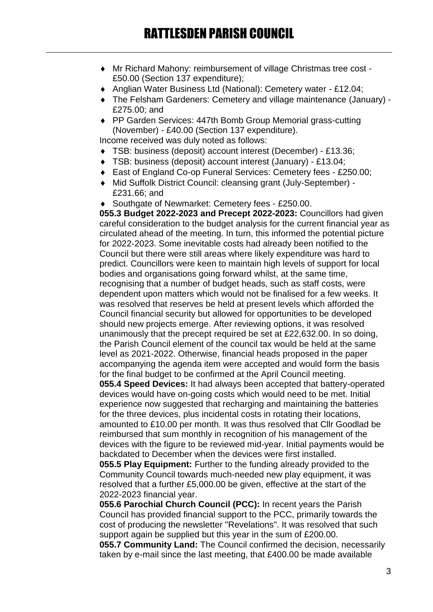- Mr Richard Mahony: reimbursement of village Christmas tree cost £50.00 (Section 137 expenditure);
- Anglian Water Business Ltd (National): Cemetery water £12.04;
- The Felsham Gardeners: Cemetery and village maintenance (January) £275.00; and
- ◆ PP Garden Services: 447th Bomb Group Memorial grass-cutting (November) - £40.00 (Section 137 expenditure).

Income received was duly noted as follows:

- TSB: business (deposit) account interest (December) £13.36;
- TSB: business (deposit) account interest (January) £13.04;
- East of England Co-op Funeral Services: Cemetery fees £250.00;
- Mid Suffolk District Council: cleansing grant (July-September) £231.66; and

◆ Southgate of Newmarket: Cemetery fees - £250.00.

**055.3 Budget 2022-2023 and Precept 2022-2023:** Councillors had given careful consideration to the budget analysis for the current financial year as circulated ahead of the meeting. In turn, this informed the potential picture for 2022-2023. Some inevitable costs had already been notified to the Council but there were still areas where likely expenditure was hard to predict. Councillors were keen to maintain high levels of support for local bodies and organisations going forward whilst, at the same time, recognising that a number of budget heads, such as staff costs, were dependent upon matters which would not be finalised for a few weeks. It was resolved that reserves be held at present levels which afforded the Council financial security but allowed for opportunities to be developed should new projects emerge. After reviewing options, it was resolved unanimously that the precept required be set at £22,632.00. In so doing, the Parish Council element of the council tax would be held at the same level as 2021-2022. Otherwise, financial heads proposed in the paper accompanying the agenda item were accepted and would form the basis for the final budget to be confirmed at the April Council meeting.

**055.4 Speed Devices:** It had always been accepted that battery-operated devices would have on-going costs which would need to be met. Initial experience now suggested that recharging and maintaining the batteries for the three devices, plus incidental costs in rotating their locations, amounted to £10.00 per month. It was thus resolved that Cllr Goodlad be reimbursed that sum monthly in recognition of his management of the devices with the figure to be reviewed mid-year. Initial payments would be backdated to December when the devices were first installed.

**055.5 Play Equipment:** Further to the funding already provided to the Community Council towards much-needed new play equipment, it was resolved that a further £5,000.00 be given, effective at the start of the 2022-2023 financial year.

**055.6 Parochial Church Council (PCC):** In recent years the Parish Council has provided financial support to the PCC, primarily towards the cost of producing the newsletter "Revelations". It was resolved that such support again be supplied but this year in the sum of £200.00.

**055.7 Community Land:** The Council confirmed the decision, necessarily taken by e-mail since the last meeting, that £400.00 be made available